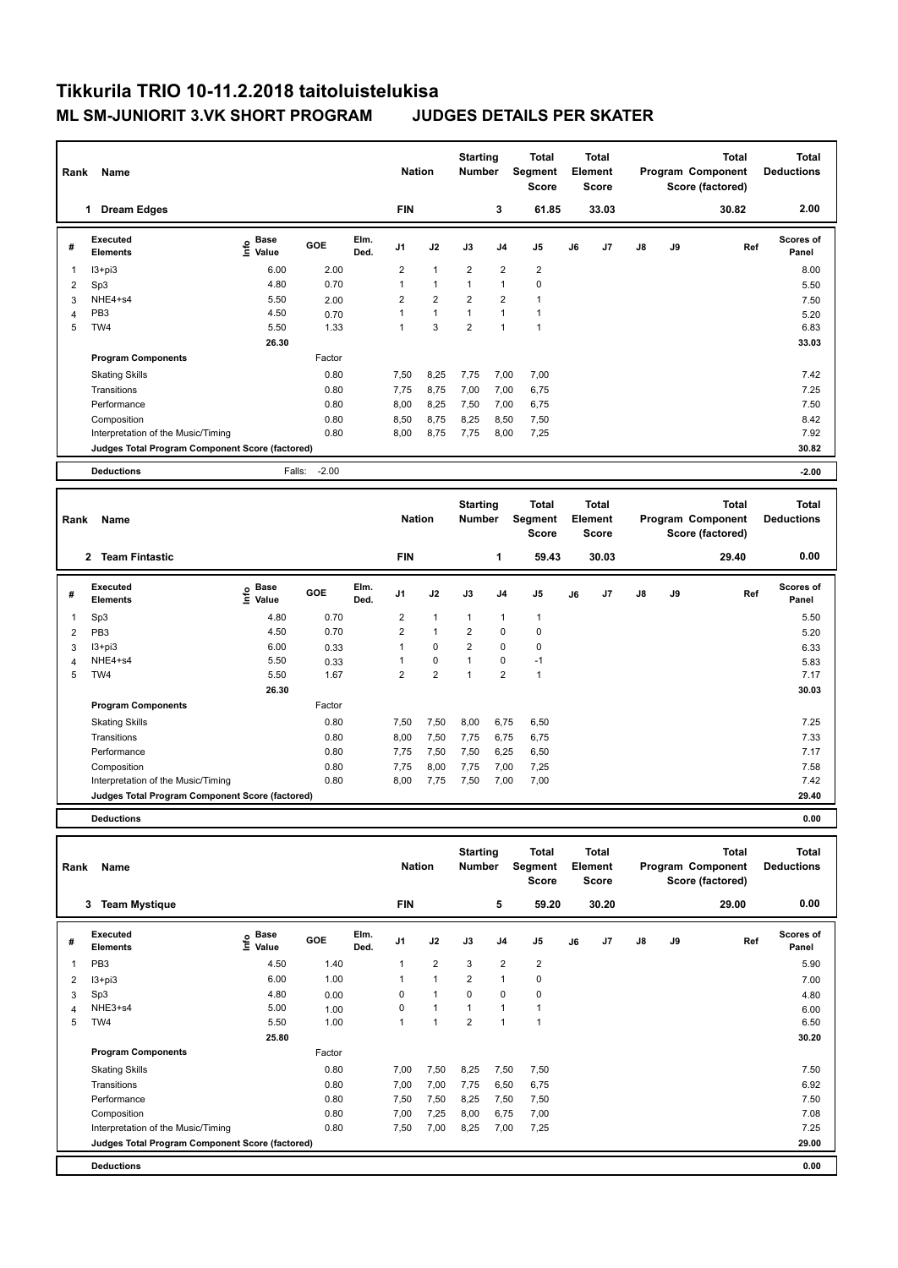## **Tikkurila TRIO 10-11.2.2018 taitoluistelukisa ML SM-JUNIORIT 3.VK SHORT PROGRAM JUDGES DETAILS PER SKATER**

| Name<br>Rank |                                                 |                                  |         |              | <b>Nation</b>  |                      | <b>Starting</b><br><b>Number</b> |                | Total<br>Segment<br><b>Score</b> | Total<br>Element<br><b>Score</b> |                |               |    | <b>Total</b><br>Program Component<br>Score (factored) | <b>Total</b><br><b>Deductions</b> |
|--------------|-------------------------------------------------|----------------------------------|---------|--------------|----------------|----------------------|----------------------------------|----------------|----------------------------------|----------------------------------|----------------|---------------|----|-------------------------------------------------------|-----------------------------------|
|              | <b>Dream Edges</b><br>1                         |                                  |         |              | <b>FIN</b>     |                      |                                  | 3              | 61.85                            |                                  | 33.03          |               |    | 30.82                                                 | 2.00                              |
| #            | Executed<br><b>Elements</b>                     | <b>Base</b><br>e Base<br>⊆ Value | GOE     | Elm.<br>Ded. | J <sub>1</sub> | J2                   | J3                               | J <sub>4</sub> | J <sub>5</sub>                   | J6                               | J <sub>7</sub> | $\mathsf{J}8$ | J9 | Ref                                                   | <b>Scores of</b><br>Panel         |
| 1            | I3+pi3                                          | 6.00                             | 2.00    |              | $\overline{2}$ | $\blacktriangleleft$ | $\overline{2}$                   | $\overline{2}$ | $\overline{\mathbf{c}}$          |                                  |                |               |    |                                                       | 8.00                              |
| 2            | Sp3                                             | 4.80                             | 0.70    |              |                | $\mathbf{1}$         | 1                                | $\mathbf{1}$   | 0                                |                                  |                |               |    |                                                       | 5.50                              |
| 3            | NHE4+s4                                         | 5.50                             | 2.00    |              | $\overline{2}$ | $\overline{2}$       | $\overline{2}$                   | $\overline{2}$ | $\mathbf{1}$                     |                                  |                |               |    |                                                       | 7.50                              |
| 4            | PB <sub>3</sub>                                 | 4.50                             | 0.70    |              |                | $\mathbf{1}$         |                                  | $\mathbf{1}$   | 1                                |                                  |                |               |    |                                                       | 5.20                              |
| 5            | TW4                                             | 5.50                             | 1.33    |              |                | 3                    | $\overline{2}$                   | $\overline{ }$ | 1                                |                                  |                |               |    |                                                       | 6.83                              |
|              |                                                 | 26.30                            |         |              |                |                      |                                  |                |                                  |                                  |                |               |    |                                                       | 33.03                             |
|              | <b>Program Components</b>                       |                                  | Factor  |              |                |                      |                                  |                |                                  |                                  |                |               |    |                                                       |                                   |
|              | <b>Skating Skills</b>                           |                                  | 0.80    |              | 7,50           | 8,25                 | 7,75                             | 7,00           | 7,00                             |                                  |                |               |    |                                                       | 7.42                              |
|              | Transitions                                     |                                  | 0.80    |              | 7.75           | 8,75                 | 7,00                             | 7,00           | 6,75                             |                                  |                |               |    |                                                       | 7.25                              |
|              | Performance                                     |                                  | 0.80    |              | 8.00           | 8,25                 | 7,50                             | 7,00           | 6,75                             |                                  |                |               |    |                                                       | 7.50                              |
|              | Composition                                     |                                  | 0.80    |              | 8,50           | 8,75                 | 8,25                             | 8,50           | 7,50                             |                                  |                |               |    |                                                       | 8.42                              |
|              | Interpretation of the Music/Timing              |                                  | 0.80    |              | 8.00           | 8,75                 | 7,75                             | 8,00           | 7,25                             |                                  |                |               |    |                                                       | 7.92                              |
|              | Judges Total Program Component Score (factored) |                                  |         |              |                |                      |                                  |                |                                  |                                  |                |               |    |                                                       | 30.82                             |
|              | <b>Deductions</b>                               | Falls:                           | $-2.00$ |              |                |                      |                                  |                |                                  |                                  |                |               |    |                                                       | $-2.00$                           |

| Rank           | Name                                            |                           |        |              | <b>Nation</b>  |                | <b>Starting</b><br><b>Number</b> |                | <b>Total</b><br>Segment<br><b>Score</b> |    | <b>Total</b><br>Element<br>Score |               |    | <b>Total</b><br>Program Component<br>Score (factored) | <b>Total</b><br><b>Deductions</b> |
|----------------|-------------------------------------------------|---------------------------|--------|--------------|----------------|----------------|----------------------------------|----------------|-----------------------------------------|----|----------------------------------|---------------|----|-------------------------------------------------------|-----------------------------------|
|                | <b>Team Fintastic</b><br>$\overline{2}$         |                           |        |              | <b>FIN</b>     |                |                                  | 1              | 59.43                                   |    | 30.03                            |               |    | 29.40                                                 | 0.00                              |
| #              | Executed<br><b>Elements</b>                     | <b>Base</b><br>۴<br>Value | GOE    | Elm.<br>Ded. | J <sub>1</sub> | J2             | J3                               | J <sub>4</sub> | J <sub>5</sub>                          | J6 | J7                               | $\mathsf{J}8$ | J9 | Ref                                                   | <b>Scores of</b><br>Panel         |
| 1              | Sp3                                             | 4.80                      | 0.70   |              | 2              | 1              | 1                                | $\overline{1}$ | $\mathbf{1}$                            |    |                                  |               |    |                                                       | 5.50                              |
| $\overline{2}$ | PB <sub>3</sub>                                 | 4.50                      | 0.70   |              | $\overline{2}$ | $\overline{1}$ | $\overline{2}$                   | $\Omega$       | 0                                       |    |                                  |               |    |                                                       | 5.20                              |
| 3              | I3+pi3                                          | 6.00                      | 0.33   |              |                | $\mathbf 0$    | $\overline{2}$                   | 0              | 0                                       |    |                                  |               |    |                                                       | 6.33                              |
| 4              | NHE4+s4                                         | 5.50                      | 0.33   |              |                | $\mathbf 0$    | 1                                | 0              | $-1$                                    |    |                                  |               |    |                                                       | 5.83                              |
| 5              | TW4                                             | 5.50                      | 1.67   |              | $\overline{2}$ | $\overline{2}$ | 1                                | $\overline{2}$ | 1                                       |    |                                  |               |    |                                                       | 7.17                              |
|                |                                                 | 26.30                     |        |              |                |                |                                  |                |                                         |    |                                  |               |    |                                                       | 30.03                             |
|                | <b>Program Components</b>                       |                           | Factor |              |                |                |                                  |                |                                         |    |                                  |               |    |                                                       |                                   |
|                | <b>Skating Skills</b>                           |                           | 0.80   |              | 7,50           | 7,50           | 8,00                             | 6,75           | 6,50                                    |    |                                  |               |    |                                                       | 7.25                              |
|                | Transitions                                     |                           | 0.80   |              | 8,00           | 7,50           | 7,75                             | 6,75           | 6,75                                    |    |                                  |               |    |                                                       | 7.33                              |
|                | Performance                                     |                           | 0.80   |              | 7,75           | 7,50           | 7,50                             | 6,25           | 6,50                                    |    |                                  |               |    |                                                       | 7.17                              |
|                | Composition                                     |                           | 0.80   |              | 7,75           | 8,00           | 7,75                             | 7,00           | 7,25                                    |    |                                  |               |    |                                                       | 7.58                              |
|                | Interpretation of the Music/Timing              |                           | 0.80   |              | 8,00           | 7,75           | 7,50                             | 7,00           | 7,00                                    |    |                                  |               |    |                                                       | 7.42                              |
|                | Judges Total Program Component Score (factored) |                           |        |              |                |                |                                  |                |                                         |    |                                  |               |    |                                                       | 29.40                             |

**Deductions 0.00**

| Name<br>Rank |                                                 |                              |        |              |                | <b>Nation</b>  |                | <b>Starting</b><br><b>Number</b> | <b>Total</b><br>Segment<br><b>Score</b> | Total<br>Element<br><b>Score</b> |                |               |    | <b>Total</b><br>Program Component<br>Score (factored) | <b>Total</b><br><b>Deductions</b> |
|--------------|-------------------------------------------------|------------------------------|--------|--------------|----------------|----------------|----------------|----------------------------------|-----------------------------------------|----------------------------------|----------------|---------------|----|-------------------------------------------------------|-----------------------------------|
|              | <b>Team Mystique</b><br>3                       |                              |        |              | <b>FIN</b>     |                |                | 5                                | 59.20                                   |                                  | 30.20          |               |    | 29.00                                                 | 0.00                              |
| #            | Executed<br><b>Elements</b>                     | <b>Base</b><br>١nf٥<br>Value | GOE    | Elm.<br>Ded. | J <sub>1</sub> | J2             | J3             | J <sub>4</sub>                   | J5                                      | J6                               | J <sub>7</sub> | $\mathsf{J}8$ | J9 | Ref                                                   | <b>Scores of</b><br>Panel         |
| 1            | PB <sub>3</sub>                                 | 4.50                         | 1.40   |              | 1              | $\overline{2}$ | 3              | $\overline{2}$                   | $\overline{2}$                          |                                  |                |               |    |                                                       | 5.90                              |
| 2            | I3+pi3                                          | 6.00                         | 1.00   |              |                | $\overline{1}$ | $\overline{2}$ | $\mathbf{1}$                     | $\mathbf 0$                             |                                  |                |               |    |                                                       | 7.00                              |
| 3            | Sp3                                             | 4.80                         | 0.00   |              | 0              | 1              | 0              | 0                                | 0                                       |                                  |                |               |    |                                                       | 4.80                              |
| 4            | NHE3+s4                                         | 5.00                         | 1.00   |              | 0              | $\overline{1}$ |                | $\overline{1}$                   | $\mathbf{1}$                            |                                  |                |               |    |                                                       | 6.00                              |
| 5            | TW4                                             | 5.50                         | 1.00   |              |                |                | 2              |                                  | 1                                       |                                  |                |               |    |                                                       | 6.50                              |
|              |                                                 | 25.80                        |        |              |                |                |                |                                  |                                         |                                  |                |               |    |                                                       | 30.20                             |
|              | <b>Program Components</b>                       |                              | Factor |              |                |                |                |                                  |                                         |                                  |                |               |    |                                                       |                                   |
|              | <b>Skating Skills</b>                           |                              | 0.80   |              | 7,00           | 7,50           | 8,25           | 7,50                             | 7,50                                    |                                  |                |               |    |                                                       | 7.50                              |
|              | Transitions                                     |                              | 0.80   |              | 7,00           | 7,00           | 7,75           | 6,50                             | 6,75                                    |                                  |                |               |    |                                                       | 6.92                              |
|              | Performance                                     |                              | 0.80   |              | 7,50           | 7,50           | 8,25           | 7,50                             | 7,50                                    |                                  |                |               |    |                                                       | 7.50                              |
|              | Composition                                     |                              | 0.80   |              | 7,00           | 7,25           | 8,00           | 6,75                             | 7,00                                    |                                  |                |               |    |                                                       | 7.08                              |
|              | Interpretation of the Music/Timing              |                              | 0.80   |              | 7,50           | 7,00           | 8,25           | 7,00                             | 7,25                                    |                                  |                |               |    |                                                       | 7.25                              |
|              | Judges Total Program Component Score (factored) |                              |        |              |                |                |                |                                  |                                         |                                  |                |               |    |                                                       | 29.00                             |
|              | <b>Deductions</b>                               |                              |        |              |                |                |                |                                  |                                         |                                  |                |               |    |                                                       | 0.00                              |